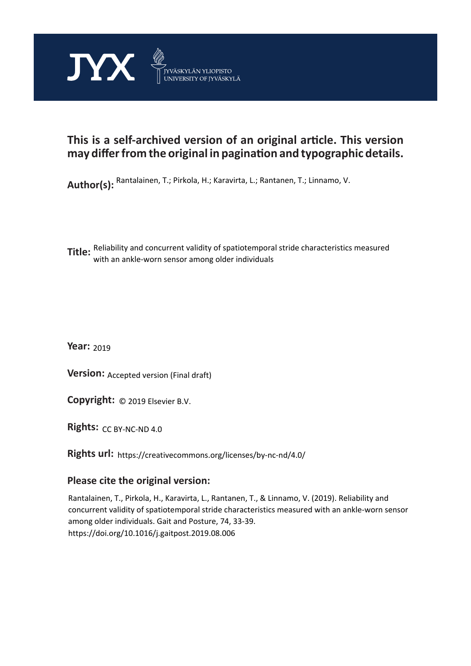

## **This is a self-archived version of an original article. This version may differ from the original in pagination and typographic details.**

**Author(s):**  Rantalainen, T.; Pirkola, H.; Karavirta, L.; Rantanen, T.; Linnamo, V.

**Title:**  Reliability and concurrent validity of spatiotemporal stride characteristics measured with an ankle-worn sensor among older individuals

**Year:**  2019

**Version: Accepted version (Final draft)** 

**Version:** Accepted version (Final draft)<br>**Copyright:** © 2019 Elsevier B.V.

**Rights:** CC BY-NC-ND 4.0

**Rights url:**  https://creativecommons.org/licenses/by-nc-nd/4.0/

### **Please cite the original version:**

Rantalainen, T., Pirkola, H., Karavirta, L., Rantanen, T., & Linnamo, V. (2019). Reliability and concurrent validity of spatiotemporal stride characteristics measured with an ankle-worn sensor among older individuals. Gait and Posture, 74, 33-39. https://doi.org/10.1016/j.gaitpost.2019.08.006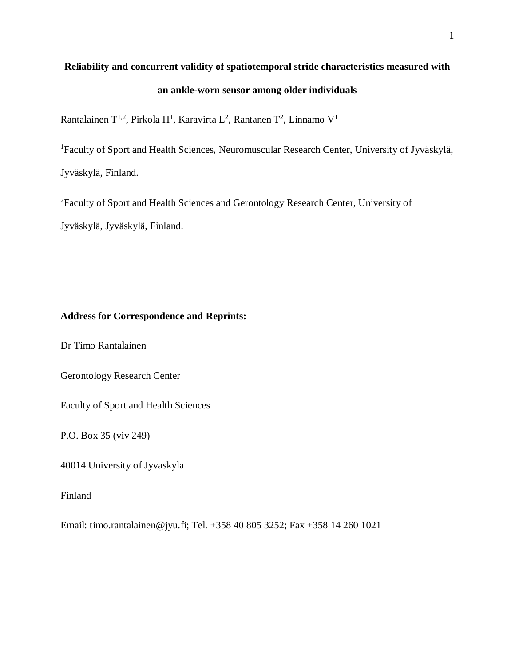# **Reliability and concurrent validity of spatiotemporal stride characteristics measured with an ankle-worn sensor among older individuals**

Rantalainen T<sup>1,2</sup>, Pirkola H<sup>1</sup>, Karavirta L<sup>2</sup>, Rantanen T<sup>2</sup>, Linnamo V<sup>1</sup>

<sup>1</sup>Faculty of Sport and Health Sciences, Neuromuscular Research Center, University of Jyväskylä, Jyväskylä, Finland.

<sup>2</sup>Faculty of Sport and Health Sciences and Gerontology Research Center, University of Jyväskylä, Jyväskylä, Finland.

#### **Address for Correspondence and Reprints:**

Dr Timo Rantalainen

Gerontology Research Center

Faculty of Sport and Health Sciences

P.O. Box 35 (viv 249)

40014 University of Jyvaskyla

Finland

Email: timo.rantalainen@jyu.fi; Tel. +358 40 805 3252; Fax +358 14 260 1021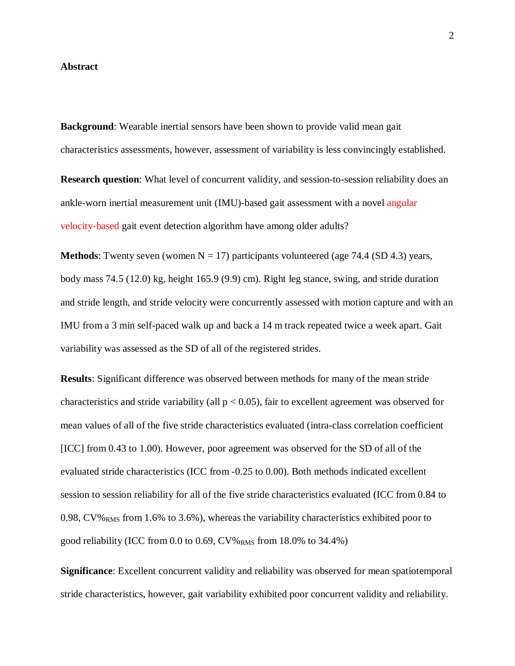#### **Abstract**

**Background:** Wearable inertial sensors have been shown to provide valid mean gait characteristics assessments, however, assessment of variability is less convincingly established.

**Research question**: What level of concurrent validity, and session-to-session reliability does an ankle-worn inertial measurement unit (IMU)-based gait assessment with a novel angular velocity-based gait event detection algorithm have among older adults?

**Methods**: Twenty seven (women  $N = 17$ ) participants volunteered (age 74.4 (SD 4.3) years, body mass 74.5 (12.0) kg, height 165.9 (9.9) cm). Right leg stance, swing, and stride duration and stride length, and stride velocity were concurrently assessed with motion capture and with an IMU from a 3 min self-paced walk up and back a 14 m track repeated twice a week apart. Gait variability was assessed as the SD of all of the registered strides.

**Results**: Significant difference was observed between methods for many of the mean stride characteristics and stride variability (all  $p < 0.05$ ), fair to excellent agreement was observed for mean values of all of the five stride characteristics evaluated (intra-class correlation coefficient [ICC] from 0.43 to 1.00). However, poor agreement was observed for the SD of all of the evaluated stride characteristics (ICC from -0.25 to 0.00). Both methods indicated excellent session to session reliability for all of the five stride characteristics evaluated (ICC from 0.84 to 0.98,  $CV\%_{RMS}$  from 1.6% to 3.6%), whereas the variability characteristics exhibited poor to good reliability (ICC from 0.0 to 0.69,  $CV\%_{RMS}$  from 18.0% to 34.4%)

**Significance**: Excellent concurrent validity and reliability was observed for mean spatiotemporal stride characteristics, however, gait variability exhibited poor concurrent validity and reliability.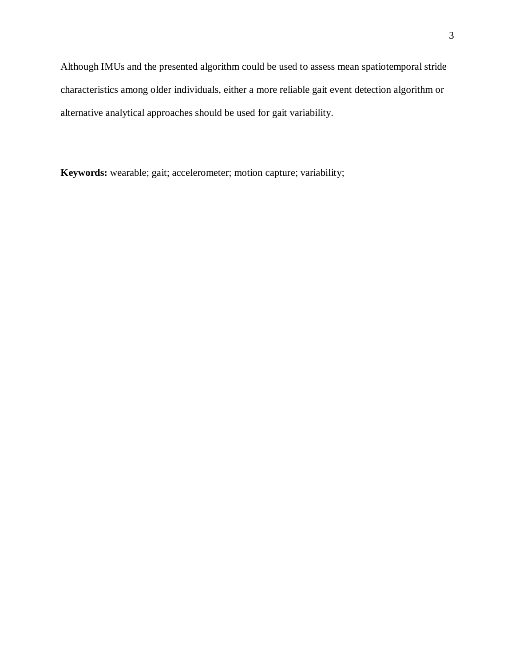Although IMUs and the presented algorithm could be used to assess mean spatiotemporal stride characteristics among older individuals, either a more reliable gait event detection algorithm or alternative analytical approaches should be used for gait variability.

**Keywords:** wearable; gait; accelerometer; motion capture; variability;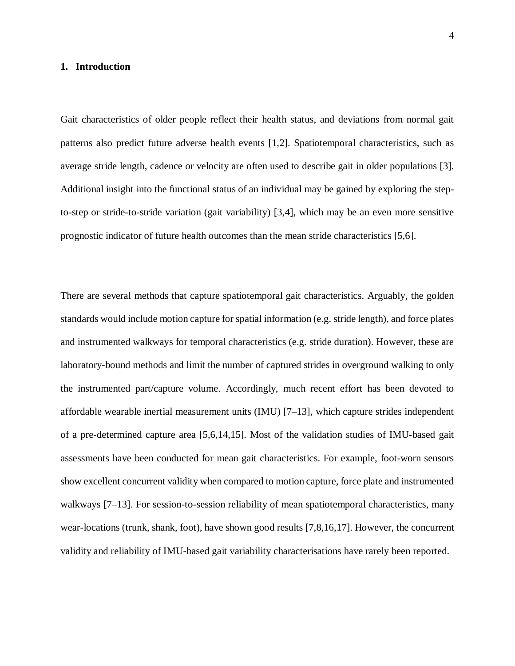#### **1. Introduction**

Gait characteristics of older people reflect their health status, and deviations from normal gait patterns also predict future adverse health events [1,2]. Spatiotemporal characteristics, such as average stride length, cadence or velocity are often used to describe gait in older populations [3]. Additional insight into the functional status of an individual may be gained by exploring the stepto-step or stride-to-stride variation (gait variability) [3,4], which may be an even more sensitive prognostic indicator of future health outcomes than the mean stride characteristics [5,6].

There are several methods that capture spatiotemporal gait characteristics. Arguably, the golden standards would include motion capture for spatial information (e.g. stride length), and force plates and instrumented walkways for temporal characteristics (e.g. stride duration). However, these are laboratory-bound methods and limit the number of captured strides in overground walking to only the instrumented part/capture volume. Accordingly, much recent effort has been devoted to affordable wearable inertial measurement units (IMU) [7–13], which capture strides independent of a pre-determined capture area [5,6,14,15]. Most of the validation studies of IMU-based gait assessments have been conducted for mean gait characteristics. For example, foot-worn sensors show excellent concurrent validity when compared to motion capture, force plate and instrumented walkways [7–13]. For session-to-session reliability of mean spatiotemporal characteristics, many wear-locations (trunk, shank, foot), have shown good results [7,8,16,17]. However, the concurrent validity and reliability of IMU-based gait variability characterisations have rarely been reported.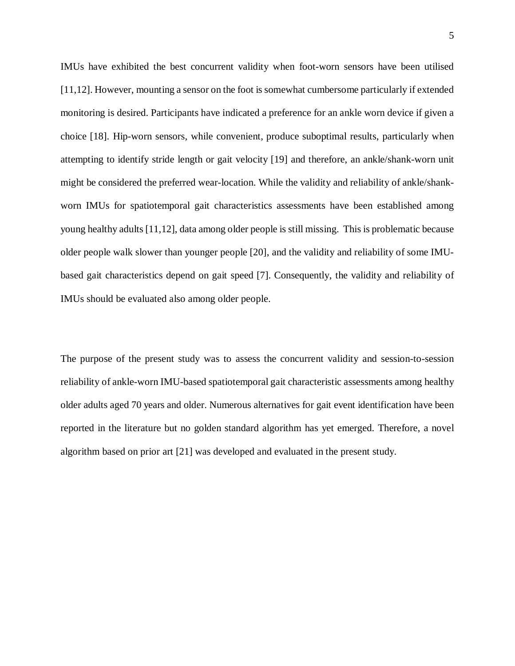IMUs have exhibited the best concurrent validity when foot-worn sensors have been utilised [11,12]. However, mounting a sensor on the foot is somewhat cumbersome particularly if extended monitoring is desired. Participants have indicated a preference for an ankle worn device if given a choice [18]. Hip-worn sensors, while convenient, produce suboptimal results, particularly when attempting to identify stride length or gait velocity [19] and therefore, an ankle/shank-worn unit might be considered the preferred wear-location. While the validity and reliability of ankle/shankworn IMUs for spatiotemporal gait characteristics assessments have been established among young healthy adults [11,12], data among older people is still missing. This is problematic because older people walk slower than younger people [20], and the validity and reliability of some IMUbased gait characteristics depend on gait speed [7]. Consequently, the validity and reliability of IMUs should be evaluated also among older people.

The purpose of the present study was to assess the concurrent validity and session-to-session reliability of ankle-worn IMU-based spatiotemporal gait characteristic assessments among healthy older adults aged 70 years and older. Numerous alternatives for gait event identification have been reported in the literature but no golden standard algorithm has yet emerged. Therefore, a novel algorithm based on prior art [21] was developed and evaluated in the present study.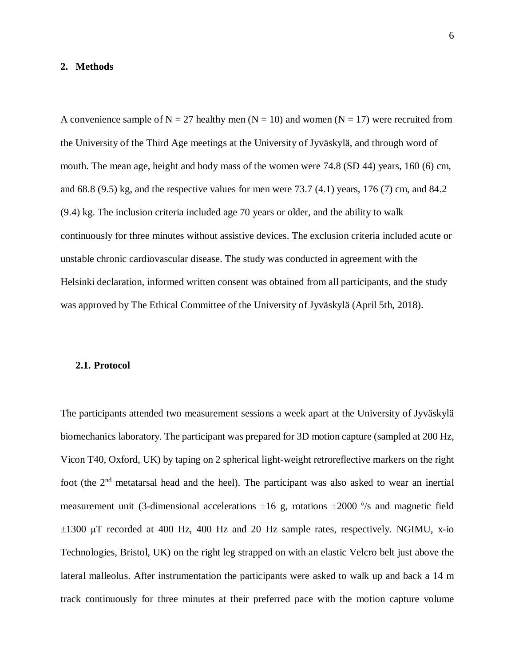#### **2. Methods**

A convenience sample of  $N = 27$  healthy men ( $N = 10$ ) and women ( $N = 17$ ) were recruited from the University of the Third Age meetings at the University of Jyväskylä, and through word of mouth. The mean age, height and body mass of the women were 74.8 (SD 44) years, 160 (6) cm, and 68.8 (9.5) kg, and the respective values for men were 73.7 (4.1) years, 176 (7) cm, and 84.2 (9.4) kg. The inclusion criteria included age 70 years or older, and the ability to walk continuously for three minutes without assistive devices. The exclusion criteria included acute or unstable chronic cardiovascular disease. The study was conducted in agreement with the Helsinki declaration, informed written consent was obtained from all participants, and the study was approved by The Ethical Committee of the University of Jyväskylä (April 5th, 2018).

#### **2.1. Protocol**

The participants attended two measurement sessions a week apart at the University of Jyväskylä biomechanics laboratory. The participant was prepared for 3D motion capture (sampled at 200 Hz, Vicon T40, Oxford, UK) by taping on 2 spherical light-weight retroreflective markers on the right foot (the 2<sup>nd</sup> metatarsal head and the heel). The participant was also asked to wear an inertial measurement unit (3-dimensional accelerations  $\pm 16$  g, rotations  $\pm 2000$  °/s and magnetic field  $\pm 1300$  μT recorded at 400 Hz, 400 Hz and 20 Hz sample rates, respectively. NGIMU, x-io Technologies, Bristol, UK) on the right leg strapped on with an elastic Velcro belt just above the lateral malleolus. After instrumentation the participants were asked to walk up and back a 14 m track continuously for three minutes at their preferred pace with the motion capture volume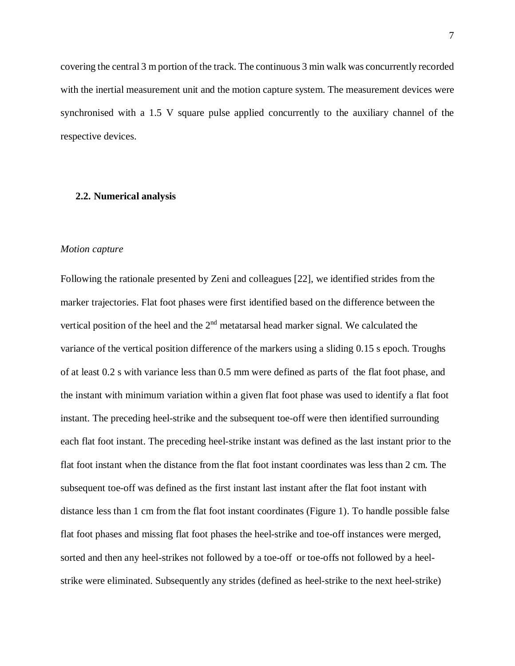covering the central 3 m portion of the track. The continuous 3 min walk was concurrently recorded with the inertial measurement unit and the motion capture system. The measurement devices were synchronised with a 1.5 V square pulse applied concurrently to the auxiliary channel of the respective devices.

#### **2.2. Numerical analysis**

#### *Motion capture*

Following the rationale presented by Zeni and colleagues [22], we identified strides from the marker trajectories. Flat foot phases were first identified based on the difference between the vertical position of the heel and the  $2<sup>nd</sup>$  metatarsal head marker signal. We calculated the variance of the vertical position difference of the markers using a sliding 0.15 s epoch. Troughs of at least 0.2 s with variance less than 0.5 mm were defined as parts of the flat foot phase, and the instant with minimum variation within a given flat foot phase was used to identify a flat foot instant. The preceding heel-strike and the subsequent toe-off were then identified surrounding each flat foot instant. The preceding heel-strike instant was defined as the last instant prior to the flat foot instant when the distance from the flat foot instant coordinates was less than 2 cm. The subsequent toe-off was defined as the first instant last instant after the flat foot instant with distance less than 1 cm from the flat foot instant coordinates (Figure 1). To handle possible false flat foot phases and missing flat foot phases the heel-strike and toe-off instances were merged, sorted and then any heel-strikes not followed by a toe-off or toe-offs not followed by a heelstrike were eliminated. Subsequently any strides (defined as heel-strike to the next heel-strike)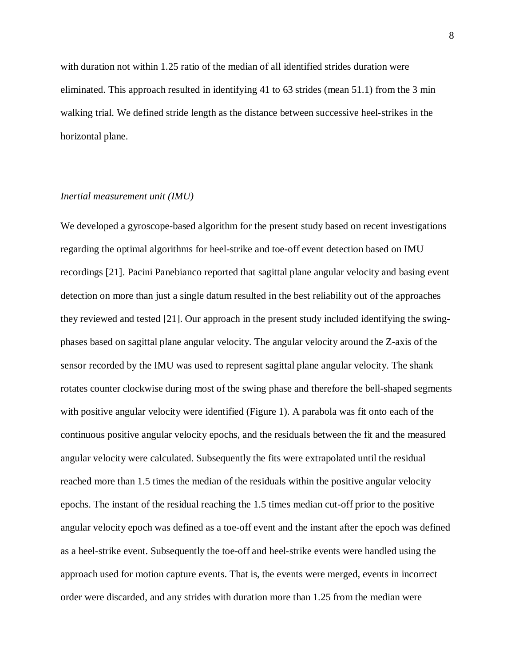with duration not within 1.25 ratio of the median of all identified strides duration were eliminated. This approach resulted in identifying 41 to 63 strides (mean 51.1) from the 3 min walking trial. We defined stride length as the distance between successive heel-strikes in the horizontal plane.

#### *Inertial measurement unit (IMU)*

We developed a gyroscope-based algorithm for the present study based on recent investigations regarding the optimal algorithms for heel-strike and toe-off event detection based on IMU recordings [21]. Pacini Panebianco reported that sagittal plane angular velocity and basing event detection on more than just a single datum resulted in the best reliability out of the approaches they reviewed and tested [21]. Our approach in the present study included identifying the swingphases based on sagittal plane angular velocity. The angular velocity around the Z-axis of the sensor recorded by the IMU was used to represent sagittal plane angular velocity. The shank rotates counter clockwise during most of the swing phase and therefore the bell-shaped segments with positive angular velocity were identified (Figure 1). A parabola was fit onto each of the continuous positive angular velocity epochs, and the residuals between the fit and the measured angular velocity were calculated. Subsequently the fits were extrapolated until the residual reached more than 1.5 times the median of the residuals within the positive angular velocity epochs. The instant of the residual reaching the 1.5 times median cut-off prior to the positive angular velocity epoch was defined as a toe-off event and the instant after the epoch was defined as a heel-strike event. Subsequently the toe-off and heel-strike events were handled using the approach used for motion capture events. That is, the events were merged, events in incorrect order were discarded, and any strides with duration more than 1.25 from the median were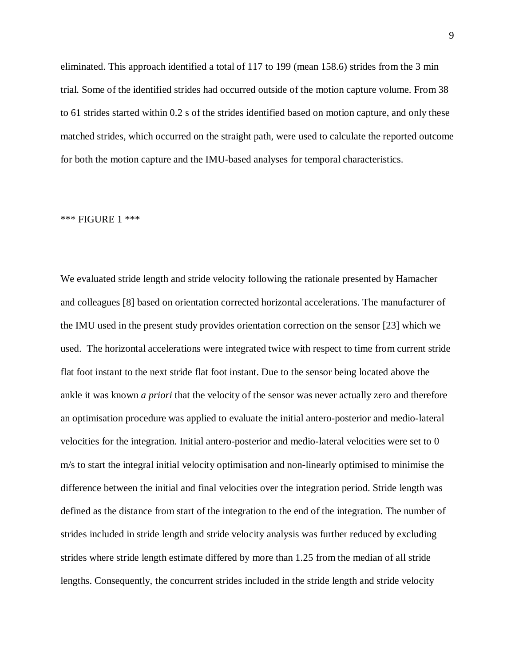eliminated. This approach identified a total of 117 to 199 (mean 158.6) strides from the 3 min trial. Some of the identified strides had occurred outside of the motion capture volume. From 38 to 61 strides started within 0.2 s of the strides identified based on motion capture, and only these matched strides, which occurred on the straight path, were used to calculate the reported outcome for both the motion capture and the IMU-based analyses for temporal characteristics.

#### \*\*\* FIGURE 1 \*\*\*

We evaluated stride length and stride velocity following the rationale presented by Hamacher and colleagues [8] based on orientation corrected horizontal accelerations. The manufacturer of the IMU used in the present study provides orientation correction on the sensor [23] which we used. The horizontal accelerations were integrated twice with respect to time from current stride flat foot instant to the next stride flat foot instant. Due to the sensor being located above the ankle it was known *a priori* that the velocity of the sensor was never actually zero and therefore an optimisation procedure was applied to evaluate the initial antero-posterior and medio-lateral velocities for the integration. Initial antero-posterior and medio-lateral velocities were set to 0 m/s to start the integral initial velocity optimisation and non-linearly optimised to minimise the difference between the initial and final velocities over the integration period. Stride length was defined as the distance from start of the integration to the end of the integration. The number of strides included in stride length and stride velocity analysis was further reduced by excluding strides where stride length estimate differed by more than 1.25 from the median of all stride lengths. Consequently, the concurrent strides included in the stride length and stride velocity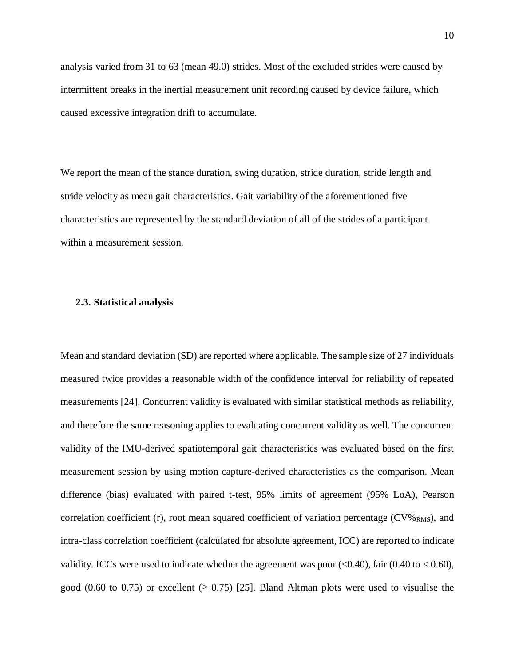analysis varied from 31 to 63 (mean 49.0) strides. Most of the excluded strides were caused by intermittent breaks in the inertial measurement unit recording caused by device failure, which caused excessive integration drift to accumulate.

We report the mean of the stance duration, swing duration, stride duration, stride length and stride velocity as mean gait characteristics. Gait variability of the aforementioned five characteristics are represented by the standard deviation of all of the strides of a participant within a measurement session.

#### **2.3. Statistical analysis**

Mean and standard deviation (SD) are reported where applicable. The sample size of 27 individuals measured twice provides a reasonable width of the confidence interval for reliability of repeated measurements [24]. Concurrent validity is evaluated with similar statistical methods as reliability, and therefore the same reasoning applies to evaluating concurrent validity as well. The concurrent validity of the IMU-derived spatiotemporal gait characteristics was evaluated based on the first measurement session by using motion capture-derived characteristics as the comparison. Mean difference (bias) evaluated with paired t-test, 95% limits of agreement (95% LoA), Pearson correlation coefficient (r), root mean squared coefficient of variation percentage ( $CV\%<sub>RMS</sub>$ ), and intra-class correlation coefficient (calculated for absolute agreement, ICC) are reported to indicate validity. ICCs were used to indicate whether the agreement was poor  $(<0.40$ , fair  $(0.40 \text{ to } < 0.60)$ , good (0.60 to 0.75) or excellent ( $\geq$  0.75) [25]. Bland Altman plots were used to visualise the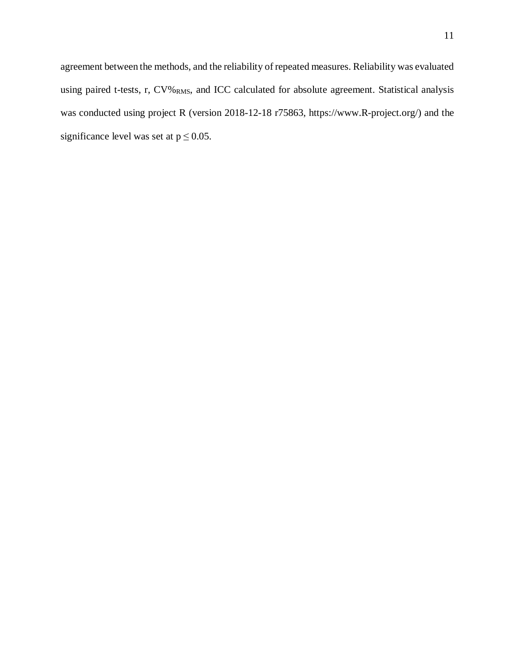11

agreement between the methods, and the reliability of repeated measures. Reliability was evaluated using paired t-tests, r, CV%RMS, and ICC calculated for absolute agreement. Statistical analysis was conducted using project R (version 2018-12-18 r75863, https://www.R-project.org/) and the significance level was set at  $p \le 0.05$ .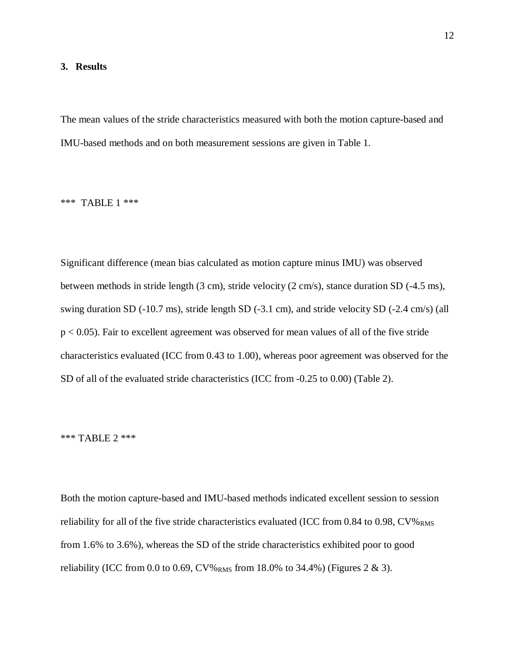#### **3. Results**

The mean values of the stride characteristics measured with both the motion capture-based and IMU-based methods and on both measurement sessions are given in Table 1.

\*\*\* TABLE 1 \*\*\*

Significant difference (mean bias calculated as motion capture minus IMU) was observed between methods in stride length (3 cm), stride velocity (2 cm/s), stance duration SD (-4.5 ms), swing duration SD (-10.7 ms), stride length SD (-3.1 cm), and stride velocity SD (-2.4 cm/s) (all  $p < 0.05$ ). Fair to excellent agreement was observed for mean values of all of the five stride characteristics evaluated (ICC from 0.43 to 1.00), whereas poor agreement was observed for the SD of all of the evaluated stride characteristics (ICC from -0.25 to 0.00) (Table 2).

#### \*\*\* TABLE 2 \*\*\*

Both the motion capture-based and IMU-based methods indicated excellent session to session reliability for all of the five stride characteristics evaluated (ICC from  $0.84$  to  $0.98$ , CV%RMS from 1.6% to 3.6%), whereas the SD of the stride characteristics exhibited poor to good reliability (ICC from 0.0 to 0.69, CV%RMS from 18.0% to 34.4%) (Figures 2 & 3).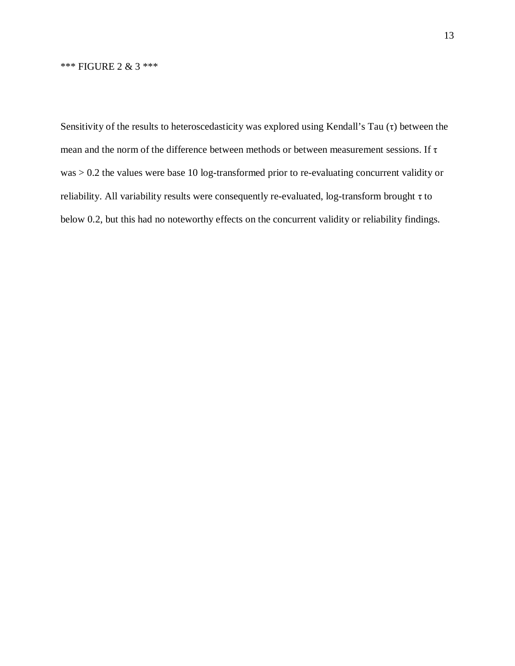Sensitivity of the results to heteroscedasticity was explored using Kendall's Tau (τ) between the mean and the norm of the difference between methods or between measurement sessions. If  $\tau$ was > 0.2 the values were base 10 log-transformed prior to re-evaluating concurrent validity or reliability. All variability results were consequently re-evaluated, log-transform brought  $\tau$  to below 0.2, but this had no noteworthy effects on the concurrent validity or reliability findings.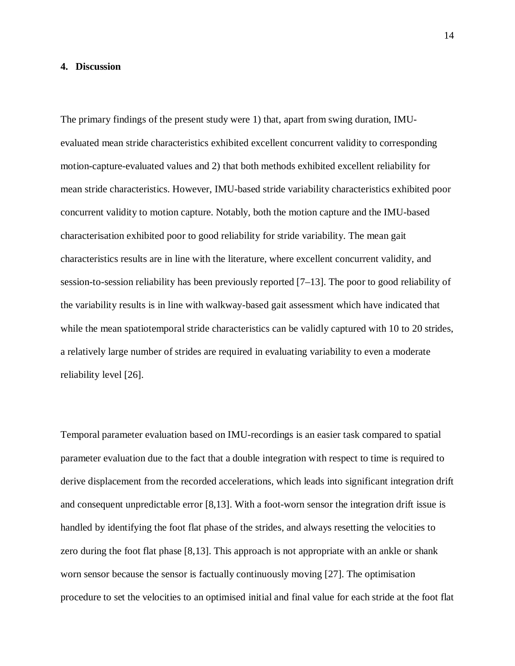#### **4. Discussion**

The primary findings of the present study were 1) that, apart from swing duration, IMUevaluated mean stride characteristics exhibited excellent concurrent validity to corresponding motion-capture-evaluated values and 2) that both methods exhibited excellent reliability for mean stride characteristics. However, IMU-based stride variability characteristics exhibited poor concurrent validity to motion capture. Notably, both the motion capture and the IMU-based characterisation exhibited poor to good reliability for stride variability. The mean gait characteristics results are in line with the literature, where excellent concurrent validity, and session-to-session reliability has been previously reported [7–13]. The poor to good reliability of the variability results is in line with walkway-based gait assessment which have indicated that while the mean spatiotemporal stride characteristics can be validly captured with 10 to 20 strides, a relatively large number of strides are required in evaluating variability to even a moderate reliability level [26].

Temporal parameter evaluation based on IMU-recordings is an easier task compared to spatial parameter evaluation due to the fact that a double integration with respect to time is required to derive displacement from the recorded accelerations, which leads into significant integration drift and consequent unpredictable error [8,13]. With a foot-worn sensor the integration drift issue is handled by identifying the foot flat phase of the strides, and always resetting the velocities to zero during the foot flat phase [8,13]. This approach is not appropriate with an ankle or shank worn sensor because the sensor is factually continuously moving [27]. The optimisation procedure to set the velocities to an optimised initial and final value for each stride at the foot flat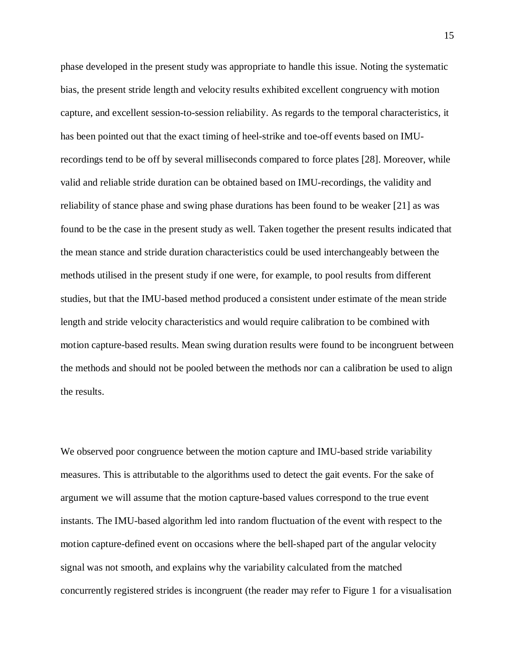phase developed in the present study was appropriate to handle this issue. Noting the systematic bias, the present stride length and velocity results exhibited excellent congruency with motion capture, and excellent session-to-session reliability. As regards to the temporal characteristics, it has been pointed out that the exact timing of heel-strike and toe-off events based on IMUrecordings tend to be off by several milliseconds compared to force plates [28]. Moreover, while valid and reliable stride duration can be obtained based on IMU-recordings, the validity and reliability of stance phase and swing phase durations has been found to be weaker [21] as was found to be the case in the present study as well. Taken together the present results indicated that the mean stance and stride duration characteristics could be used interchangeably between the methods utilised in the present study if one were, for example, to pool results from different studies, but that the IMU-based method produced a consistent under estimate of the mean stride length and stride velocity characteristics and would require calibration to be combined with motion capture-based results. Mean swing duration results were found to be incongruent between the methods and should not be pooled between the methods nor can a calibration be used to align the results.

We observed poor congruence between the motion capture and IMU-based stride variability measures. This is attributable to the algorithms used to detect the gait events. For the sake of argument we will assume that the motion capture-based values correspond to the true event instants. The IMU-based algorithm led into random fluctuation of the event with respect to the motion capture-defined event on occasions where the bell-shaped part of the angular velocity signal was not smooth, and explains why the variability calculated from the matched concurrently registered strides is incongruent (the reader may refer to Figure 1 for a visualisation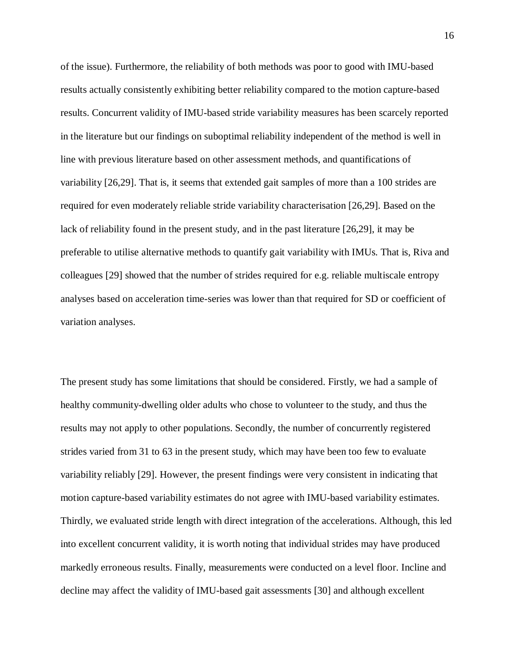of the issue). Furthermore, the reliability of both methods was poor to good with IMU-based results actually consistently exhibiting better reliability compared to the motion capture-based results. Concurrent validity of IMU-based stride variability measures has been scarcely reported in the literature but our findings on suboptimal reliability independent of the method is well in line with previous literature based on other assessment methods, and quantifications of variability [26,29]. That is, it seems that extended gait samples of more than a 100 strides are required for even moderately reliable stride variability characterisation [26,29]. Based on the lack of reliability found in the present study, and in the past literature [26,29], it may be preferable to utilise alternative methods to quantify gait variability with IMUs. That is, Riva and colleagues [29] showed that the number of strides required for e.g. reliable multiscale entropy analyses based on acceleration time-series was lower than that required for SD or coefficient of variation analyses.

The present study has some limitations that should be considered. Firstly, we had a sample of healthy community-dwelling older adults who chose to volunteer to the study, and thus the results may not apply to other populations. Secondly, the number of concurrently registered strides varied from 31 to 63 in the present study, which may have been too few to evaluate variability reliably [29]. However, the present findings were very consistent in indicating that motion capture-based variability estimates do not agree with IMU-based variability estimates. Thirdly, we evaluated stride length with direct integration of the accelerations. Although, this led into excellent concurrent validity, it is worth noting that individual strides may have produced markedly erroneous results. Finally, measurements were conducted on a level floor. Incline and decline may affect the validity of IMU-based gait assessments [30] and although excellent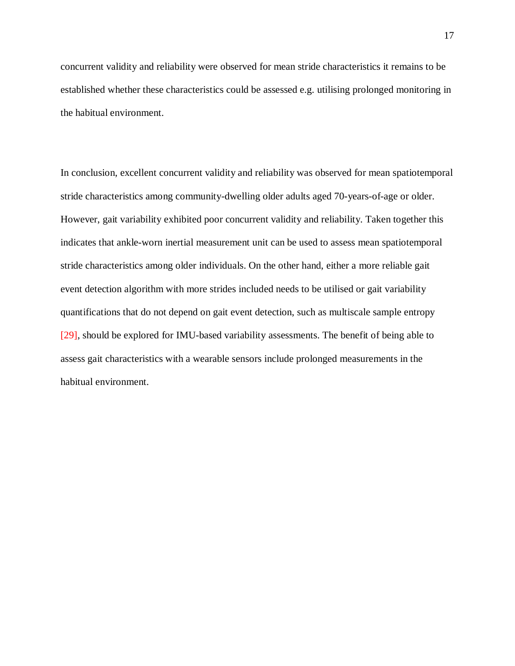concurrent validity and reliability were observed for mean stride characteristics it remains to be established whether these characteristics could be assessed e.g. utilising prolonged monitoring in the habitual environment.

In conclusion, excellent concurrent validity and reliability was observed for mean spatiotemporal stride characteristics among community-dwelling older adults aged 70-years-of-age or older. However, gait variability exhibited poor concurrent validity and reliability. Taken together this indicates that ankle-worn inertial measurement unit can be used to assess mean spatiotemporal stride characteristics among older individuals. On the other hand, either a more reliable gait event detection algorithm with more strides included needs to be utilised or gait variability quantifications that do not depend on gait event detection, such as multiscale sample entropy [29], should be explored for IMU-based variability assessments. The benefit of being able to assess gait characteristics with a wearable sensors include prolonged measurements in the habitual environment.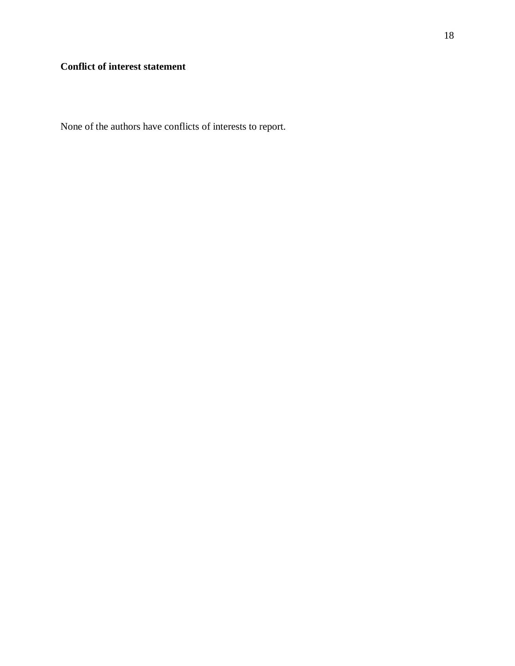## **Conflict of interest statement**

None of the authors have conflicts of interests to report.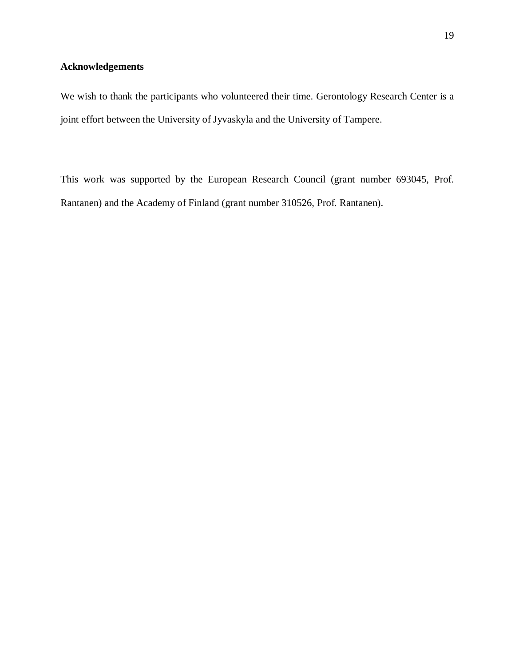## **Acknowledgements**

We wish to thank the participants who volunteered their time. Gerontology Research Center is a joint effort between the University of Jyvaskyla and the University of Tampere.

This work was supported by the European Research Council (grant number 693045, Prof. Rantanen) and the Academy of Finland (grant number 310526, Prof. Rantanen).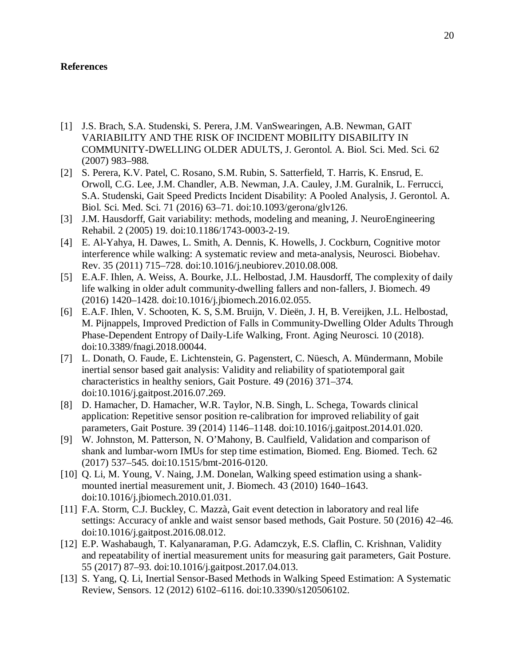#### **References**

- [1] J.S. Brach, S.A. Studenski, S. Perera, J.M. VanSwearingen, A.B. Newman, GAIT VARIABILITY AND THE RISK OF INCIDENT MOBILITY DISABILITY IN COMMUNITY-DWELLING OLDER ADULTS, J. Gerontol. A. Biol. Sci. Med. Sci. 62 (2007) 983–988.
- [2] S. Perera, K.V. Patel, C. Rosano, S.M. Rubin, S. Satterfield, T. Harris, K. Ensrud, E. Orwoll, C.G. Lee, J.M. Chandler, A.B. Newman, J.A. Cauley, J.M. Guralnik, L. Ferrucci, S.A. Studenski, Gait Speed Predicts Incident Disability: A Pooled Analysis, J. Gerontol. A. Biol. Sci. Med. Sci. 71 (2016) 63–71. doi:10.1093/gerona/glv126.
- [3] J.M. Hausdorff, Gait variability: methods, modeling and meaning, J. NeuroEngineering Rehabil. 2 (2005) 19. doi:10.1186/1743-0003-2-19.
- [4] E. Al-Yahya, H. Dawes, L. Smith, A. Dennis, K. Howells, J. Cockburn, Cognitive motor interference while walking: A systematic review and meta-analysis, Neurosci. Biobehav. Rev. 35 (2011) 715–728. doi:10.1016/j.neubiorev.2010.08.008.
- [5] E.A.F. Ihlen, A. Weiss, A. Bourke, J.L. Helbostad, J.M. Hausdorff, The complexity of daily life walking in older adult community-dwelling fallers and non-fallers, J. Biomech. 49 (2016) 1420–1428. doi:10.1016/j.jbiomech.2016.02.055.
- [6] E.A.F. Ihlen, V. Schooten, K. S, S.M. Bruijn, V. Dieën, J. H, B. Vereijken, J.L. Helbostad, M. Pijnappels, Improved Prediction of Falls in Community-Dwelling Older Adults Through Phase-Dependent Entropy of Daily-Life Walking, Front. Aging Neurosci. 10 (2018). doi:10.3389/fnagi.2018.00044.
- [7] L. Donath, O. Faude, E. Lichtenstein, G. Pagenstert, C. Nüesch, A. Mündermann, Mobile inertial sensor based gait analysis: Validity and reliability of spatiotemporal gait characteristics in healthy seniors, Gait Posture. 49 (2016) 371–374. doi:10.1016/j.gaitpost.2016.07.269.
- [8] D. Hamacher, D. Hamacher, W.R. Taylor, N.B. Singh, L. Schega, Towards clinical application: Repetitive sensor position re-calibration for improved reliability of gait parameters, Gait Posture. 39 (2014) 1146–1148. doi:10.1016/j.gaitpost.2014.01.020.
- [9] W. Johnston, M. Patterson, N. O'Mahony, B. Caulfield, Validation and comparison of shank and lumbar-worn IMUs for step time estimation, Biomed. Eng. Biomed. Tech. 62 (2017) 537–545. doi:10.1515/bmt-2016-0120.
- [10] Q. Li, M. Young, V. Naing, J.M. Donelan, Walking speed estimation using a shankmounted inertial measurement unit, J. Biomech. 43 (2010) 1640–1643. doi:10.1016/j.jbiomech.2010.01.031.
- [11] F.A. Storm, C.J. Buckley, C. Mazzà, Gait event detection in laboratory and real life settings: Accuracy of ankle and waist sensor based methods, Gait Posture. 50 (2016) 42–46. doi:10.1016/j.gaitpost.2016.08.012.
- [12] E.P. Washabaugh, T. Kalyanaraman, P.G. Adamczyk, E.S. Claflin, C. Krishnan, Validity and repeatability of inertial measurement units for measuring gait parameters, Gait Posture. 55 (2017) 87–93. doi:10.1016/j.gaitpost.2017.04.013.
- [13] S. Yang, Q. Li, Inertial Sensor-Based Methods in Walking Speed Estimation: A Systematic Review, Sensors. 12 (2012) 6102–6116. doi:10.3390/s120506102.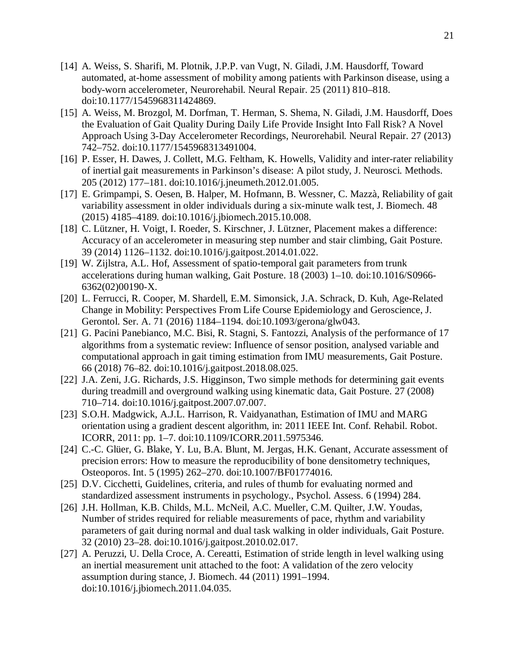- [14] A. Weiss, S. Sharifi, M. Plotnik, J.P.P. van Vugt, N. Giladi, J.M. Hausdorff, Toward automated, at-home assessment of mobility among patients with Parkinson disease, using a body-worn accelerometer, Neurorehabil. Neural Repair. 25 (2011) 810–818. doi:10.1177/1545968311424869.
- [15] A. Weiss, M. Brozgol, M. Dorfman, T. Herman, S. Shema, N. Giladi, J.M. Hausdorff, Does the Evaluation of Gait Quality During Daily Life Provide Insight Into Fall Risk? A Novel Approach Using 3-Day Accelerometer Recordings, Neurorehabil. Neural Repair. 27 (2013) 742–752. doi:10.1177/1545968313491004.
- [16] P. Esser, H. Dawes, J. Collett, M.G. Feltham, K. Howells, Validity and inter-rater reliability of inertial gait measurements in Parkinson's disease: A pilot study, J. Neurosci. Methods. 205 (2012) 177–181. doi:10.1016/j.jneumeth.2012.01.005.
- [17] E. Grimpampi, S. Oesen, B. Halper, M. Hofmann, B. Wessner, C. Mazzà, Reliability of gait variability assessment in older individuals during a six-minute walk test, J. Biomech. 48 (2015) 4185–4189. doi:10.1016/j.jbiomech.2015.10.008.
- [18] C. Lützner, H. Voigt, I. Roeder, S. Kirschner, J. Lützner, Placement makes a difference: Accuracy of an accelerometer in measuring step number and stair climbing, Gait Posture. 39 (2014) 1126–1132. doi:10.1016/j.gaitpost.2014.01.022.
- [19] W. Zijlstra, A.L. Hof, Assessment of spatio-temporal gait parameters from trunk accelerations during human walking, Gait Posture. 18 (2003) 1–10. doi:10.1016/S0966- 6362(02)00190-X.
- [20] L. Ferrucci, R. Cooper, M. Shardell, E.M. Simonsick, J.A. Schrack, D. Kuh, Age-Related Change in Mobility: Perspectives From Life Course Epidemiology and Geroscience, J. Gerontol. Ser. A. 71 (2016) 1184–1194. doi:10.1093/gerona/glw043.
- [21] G. Pacini Panebianco, M.C. Bisi, R. Stagni, S. Fantozzi, Analysis of the performance of 17 algorithms from a systematic review: Influence of sensor position, analysed variable and computational approach in gait timing estimation from IMU measurements, Gait Posture. 66 (2018) 76–82. doi:10.1016/j.gaitpost.2018.08.025.
- [22] J.A. Zeni, J.G. Richards, J.S. Higginson, Two simple methods for determining gait events during treadmill and overground walking using kinematic data, Gait Posture. 27 (2008) 710–714. doi:10.1016/j.gaitpost.2007.07.007.
- [23] S.O.H. Madgwick, A.J.L. Harrison, R. Vaidyanathan, Estimation of IMU and MARG orientation using a gradient descent algorithm, in: 2011 IEEE Int. Conf. Rehabil. Robot. ICORR, 2011: pp. 1–7. doi:10.1109/ICORR.2011.5975346.
- [24] C.-C. Glüer, G. Blake, Y. Lu, B.A. Blunt, M. Jergas, H.K. Genant, Accurate assessment of precision errors: How to measure the reproducibility of bone densitometry techniques, Osteoporos. Int. 5 (1995) 262–270. doi:10.1007/BF01774016.
- [25] D.V. Cicchetti, Guidelines, criteria, and rules of thumb for evaluating normed and standardized assessment instruments in psychology., Psychol. Assess. 6 (1994) 284.
- [26] J.H. Hollman, K.B. Childs, M.L. McNeil, A.C. Mueller, C.M. Quilter, J.W. Youdas, Number of strides required for reliable measurements of pace, rhythm and variability parameters of gait during normal and dual task walking in older individuals, Gait Posture. 32 (2010) 23–28. doi:10.1016/j.gaitpost.2010.02.017.
- [27] A. Peruzzi, U. Della Croce, A. Cereatti, Estimation of stride length in level walking using an inertial measurement unit attached to the foot: A validation of the zero velocity assumption during stance, J. Biomech. 44 (2011) 1991–1994. doi:10.1016/j.jbiomech.2011.04.035.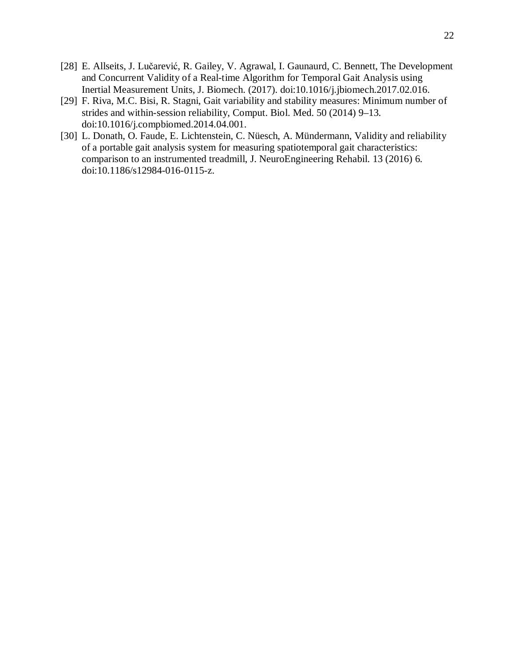- [28] E. Allseits, J. Lučarević, R. Gailey, V. Agrawal, I. Gaunaurd, C. Bennett, The Development and Concurrent Validity of a Real-time Algorithm for Temporal Gait Analysis using Inertial Measurement Units, J. Biomech. (2017). doi:10.1016/j.jbiomech.2017.02.016.
- [29] F. Riva, M.C. Bisi, R. Stagni, Gait variability and stability measures: Minimum number of strides and within-session reliability, Comput. Biol. Med. 50 (2014) 9–13. doi:10.1016/j.compbiomed.2014.04.001.
- [30] L. Donath, O. Faude, E. Lichtenstein, C. Nüesch, A. Mündermann, Validity and reliability of a portable gait analysis system for measuring spatiotemporal gait characteristics: comparison to an instrumented treadmill, J. NeuroEngineering Rehabil. 13 (2016) 6. doi:10.1186/s12984-016-0115-z.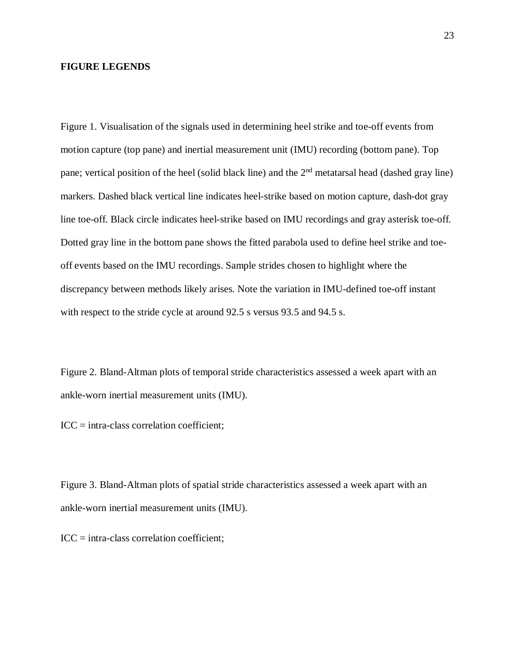#### **FIGURE LEGENDS**

Figure 1. Visualisation of the signals used in determining heel strike and toe-off events from motion capture (top pane) and inertial measurement unit (IMU) recording (bottom pane). Top pane; vertical position of the heel (solid black line) and the 2<sup>nd</sup> metatarsal head (dashed gray line) markers. Dashed black vertical line indicates heel-strike based on motion capture, dash-dot gray line toe-off. Black circle indicates heel-strike based on IMU recordings and gray asterisk toe-off. Dotted gray line in the bottom pane shows the fitted parabola used to define heel strike and toeoff events based on the IMU recordings. Sample strides chosen to highlight where the discrepancy between methods likely arises. Note the variation in IMU-defined toe-off instant with respect to the stride cycle at around 92.5 s versus 93.5 and 94.5 s.

Figure 2. Bland-Altman plots of temporal stride characteristics assessed a week apart with an ankle-worn inertial measurement units (IMU).

ICC = intra-class correlation coefficient;

Figure 3. Bland-Altman plots of spatial stride characteristics assessed a week apart with an ankle-worn inertial measurement units (IMU).

ICC = intra-class correlation coefficient;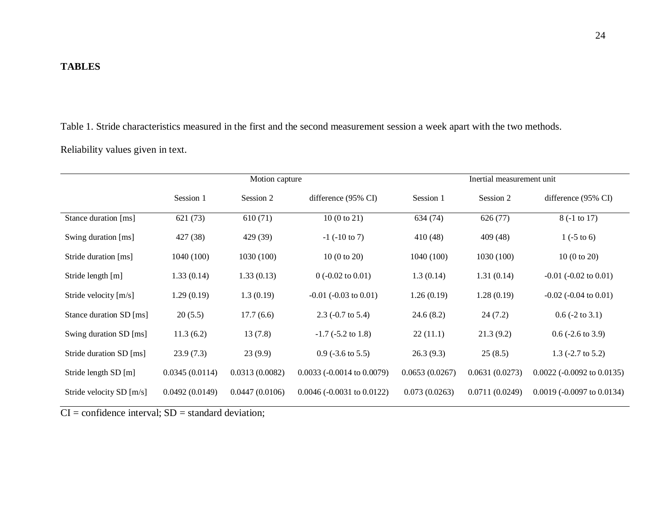Table 1. Stride characteristics measured in the first and the second measurement session a week apart with the two methods. Reliability values given in text.

|                            | Motion capture |                |                                | Inertial measurement unit |                |                                |
|----------------------------|----------------|----------------|--------------------------------|---------------------------|----------------|--------------------------------|
|                            | Session 1      | Session 2      | difference $(95\% \text{ CI})$ | Session 1                 | Session 2      | difference $(95\% \text{ CI})$ |
| Stance duration [ms]       | 621 (73)       | 610(71)        | 10(0 to 21)                    | 634 (74)                  | 626(77)        | $8(-1 \text{ to } 17)$         |
| Swing duration [ms]        | 427 (38)       | 429(39)        | $-1$ ( $-10$ to 7)             | 410 (48)                  | 409 (48)       | 1 $(-5 \text{ to } 6)$         |
| Stride duration [ms]       | 1040(100)      | 1030(100)      | 10(0 to 20)                    | 1040(100)                 | 1030(100)      | 10(0 to 20)                    |
| Stride length [m]          | 1.33(0.14)     | 1.33(0.13)     | $0(-0.02 \text{ to } 0.01)$    | 1.3(0.14)                 | 1.31(0.14)     | $-0.01$ $(-0.02$ to $0.01)$    |
| Stride velocity $[m/s]$    | 1.29(0.19)     | 1.3(0.19)      | $-0.01$ ( $-0.03$ to $0.01$ )  | 1.26(0.19)                | 1.28(0.19)     | $-0.02$ ( $-0.04$ to $0.01$ )  |
| Stance duration SD [ms]    | 20(5.5)        | 17.7(6.6)      | $2.3$ (-0.7 to 5.4)            | 24.6(8.2)                 | 24(7.2)        | $0.6$ (-2 to 3.1)              |
| Swing duration SD [ms]     | 11.3(6.2)      | 13(7.8)        | $-1.7$ ( $-5.2$ to 1.8)        | 22(11.1)                  | 21.3(9.2)      | $0.6$ (-2.6 to 3.9)            |
| Stride duration SD [ms]    | 23.9(7.3)      | 23(9.9)        | $0.9$ (-3.6 to 5.5)            | 26.3(9.3)                 | 25(8.5)        | 1.3 $(-2.7 \text{ to } 5.2)$   |
| Stride length SD [m]       | 0.0345(0.0114) | 0.0313(0.0082) | $0.0033$ (-0.0014 to 0.0079)   | 0.0653(0.0267)            | 0.0631(0.0273) | $0.0022$ (-0.0092 to 0.0135)   |
| Stride velocity SD $[m/s]$ | 0.0492(0.0149) | 0.0447(0.0106) | $0.0046 (-0.0031 to 0.0122)$   | 0.073(0.0263)             | 0.0711(0.0249) | $0.0019$ (-0.0097 to 0.0134)   |

 $\overline{CI}$  = confidence interval;  $SD$  = standard deviation;